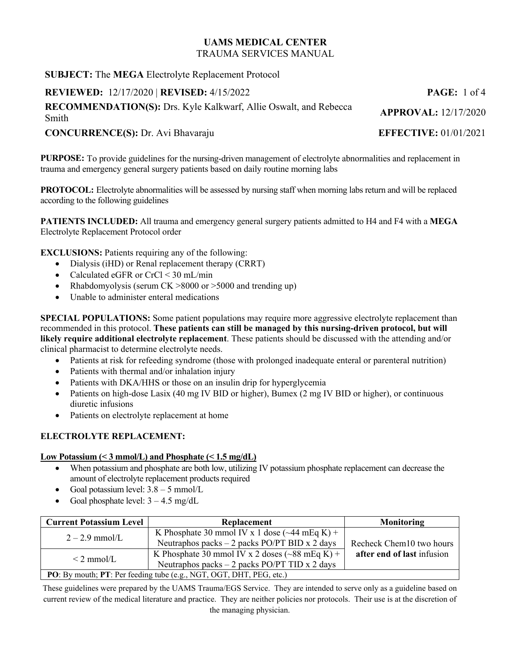**SUBJECT:** The **MEGA** Electrolyte Replacement Protocol

**REVIEWED:** 12/17/2020 | **REVISED:** 4/15/2022 **PAGE:** 1 of 4

**RECOMMENDATION(S):** Drs. Kyle Kalkwarf, Allie Oswalt, and Rebecca Smith **APPROVAL:** 12/17/2020

## **CONCURRENCE(S):** Dr. Avi Bhavaraju **EFFECTIVE:** 01/01/2021

**PURPOSE:** To provide guidelines for the nursing-driven management of electrolyte abnormalities and replacement in trauma and emergency general surgery patients based on daily routine morning labs

**PROTOCOL:** Electrolyte abnormalities will be assessed by nursing staff when morning labs return and will be replaced according to the following guidelines

**PATIENTS INCLUDED:** All trauma and emergency general surgery patients admitted to H4 and F4 with a **MEGA** Electrolyte Replacement Protocol order

**EXCLUSIONS:** Patients requiring any of the following:

- Dialysis (iHD) or Renal replacement therapy (CRRT)
- Calculated eGFR or CrCl < 30 mL/min
- Rhabdomyolysis (serum  $CK > 8000$  or  $> 5000$  and trending up)
- Unable to administer enteral medications

**SPECIAL POPULATIONS:** Some patient populations may require more aggressive electrolyte replacement than recommended in this protocol. **These patients can still be managed by this nursing-driven protocol, but will likely require additional electrolyte replacement**. These patients should be discussed with the attending and/or clinical pharmacist to determine electrolyte needs.

- Patients at risk for refeeding syndrome (those with prolonged inadequate enteral or parenteral nutrition)
- Patients with thermal and/or inhalation injury
- Patients with DKA/HHS or those on an insulin drip for hyperglycemia
- Patients on high-dose Lasix (40 mg IV BID or higher), Bumex (2 mg IV BID or higher), or continuous diuretic infusions
- Patients on electrolyte replacement at home

#### **ELECTROLYTE REPLACEMENT:**

#### **Low Potassium (< 3 mmol/L) and Phosphate (< 1.5 mg/dL)**

- When potassium and phosphate are both low, utilizing IV potassium phosphate replacement can decrease the amount of electrolyte replacement products required
- Goal potassium level:  $3.8 5$  mmol/L
- Goal phosphate level:  $3 4.5$  mg/dL

| <b>Current Potassium Level</b>                                      | <b>Replacement</b>                                           | Monitoring                 |
|---------------------------------------------------------------------|--------------------------------------------------------------|----------------------------|
| $2 - 2.9$ mmol/L                                                    | K Phosphate 30 mmol IV x 1 dose $(\sim 44 \text{ mEq K}) +$  |                            |
|                                                                     | Neutraphos packs $-2$ packs PO/PT BID x 2 days               | Recheck Chem10 two hours   |
| $\leq$ 2 mmol/L                                                     | K Phosphate 30 mmol IV x 2 doses $(\sim 88 \text{ mEq K}) +$ | after end of last infusion |
|                                                                     | Neutraphos packs $-2$ packs PO/PT TID x 2 days               |                            |
| PO: By mouth; PT: Per feeding tube (e.g., NGT, OGT, DHT, PEG, etc.) |                                                              |                            |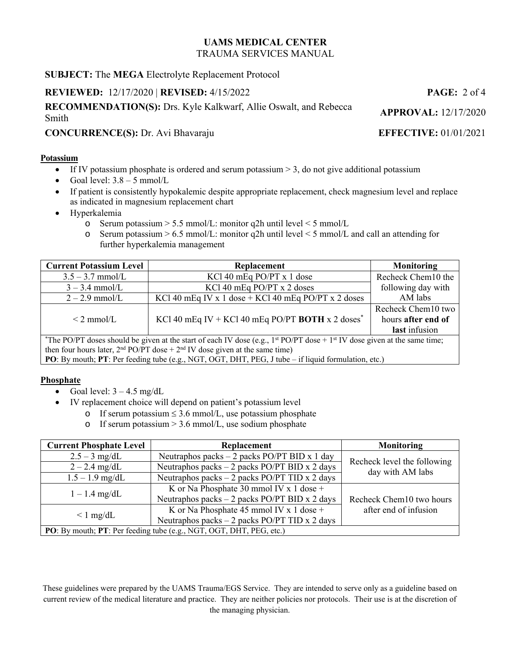**SUBJECT:** The **MEGA** Electrolyte Replacement Protocol

**REVIEWED:** 12/17/2020 | **REVISED:** 4/15/2022 **PAGE:** 2 of 4

**RECOMMENDATION(S):** Drs. Kyle Kalkwarf, Allie Oswalt, and Rebecca Smith **APPROVAL:** 12/17/2020

# **CONCURRENCE(S):** Dr. Avi Bhavaraju **EFFECTIVE:** 01/01/2021

#### **Potassium**

- If IV potassium phosphate is ordered and serum potassium  $> 3$ , do not give additional potassium
- Goal level:  $3.8 5$  mmol/L
- If patient is consistently hypokalemic despite appropriate replacement, check magnesium level and replace as indicated in magnesium replacement chart
- Hyperkalemia
	- o Serum potassium  $> 5.5$  mmol/L: monitor q2h until level  $< 5$  mmol/L
	- $\circ$  Serum potassium  $> 6.5$  mmol/L: monitor q2h until level  $\leq 5$  mmol/L and call an attending for further hyperkalemia management

| <b>Current Potassium Level</b>                                                                                                                    | Replacement                                                  | <b>Monitoring</b>  |  |
|---------------------------------------------------------------------------------------------------------------------------------------------------|--------------------------------------------------------------|--------------------|--|
| $3.5 - 3.7$ mmol/L                                                                                                                                | KCl 40 mEq PO/PT $x$ 1 dose                                  | Recheck Chem10 the |  |
| $3 - 3.4$ mmol/L                                                                                                                                  | KCl 40 mEq PO/PT x 2 doses                                   | following day with |  |
| $2 - 2.9$ mmol/L                                                                                                                                  | KCl 40 mEq IV x 1 dose + KCl 40 mEq PO/PT x 2 doses          | AM labs            |  |
|                                                                                                                                                   |                                                              | Recheck Chem10 two |  |
| $\leq$ 2 mmol/L                                                                                                                                   | KCl 40 mEq IV + KCl 40 mEq PO/PT BOTH x 2 doses <sup>*</sup> | hours after end of |  |
|                                                                                                                                                   |                                                              | last infusion      |  |
| *The PO/PT doses should be given at the start of each IV dose (e.g., 1 <sup>st</sup> PO/PT dose + 1 <sup>st</sup> IV dose given at the same time; |                                                              |                    |  |
| then four hours later, $2nd PO/PT$ dose + $2nd IV$ dose given at the same time)                                                                   |                                                              |                    |  |

**PO**: By mouth; **PT**: Per feeding tube (e.g., NGT, OGT, DHT, PEG, J tube – if liquid formulation, etc.)

#### **Phosphate**

- Goal level:  $3 4.5$  mg/dL
- IV replacement choice will depend on patient's potassium level
	- o If serum potassium  $\leq 3.6$  mmol/L, use potassium phosphate
	- o If serum potassium  $> 3.6$  mmol/L, use sodium phosphate

| <b>Current Phosphate Level</b>                                      | Replacement                                    | Monitoring                  |
|---------------------------------------------------------------------|------------------------------------------------|-----------------------------|
| $2.5 - 3$ mg/dL                                                     | Neutraphos packs $-2$ packs PO/PT BID x 1 day  |                             |
| $2 - 2.4$ mg/dL                                                     | Neutraphos packs $-2$ packs PO/PT BID x 2 days | Recheck level the following |
| $1.5 - 1.9$ mg/dL                                                   | Neutraphos packs - 2 packs PO/PT TID x 2 days  | day with AM labs            |
| $1 - 1.4$ mg/dL                                                     | K or Na Phosphate 30 mmol IV x 1 dose $+$      |                             |
|                                                                     | Neutraphos packs - 2 packs PO/PT BID x 2 days  | Recheck Chem10 two hours    |
| $\leq 1$ mg/dL                                                      | K or Na Phosphate 45 mmol IV x 1 dose +        | after end of infusion       |
|                                                                     | Neutraphos packs $-2$ packs PO/PT TID x 2 days |                             |
| PO: By mouth; PT: Per feeding tube (e.g., NGT, OGT, DHT, PEG, etc.) |                                                |                             |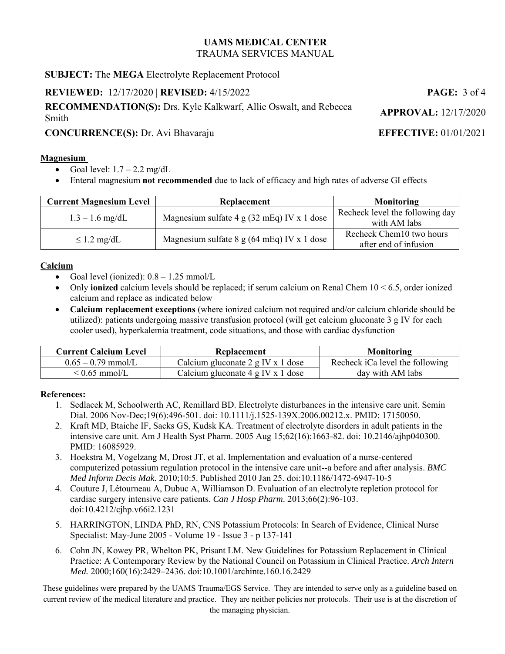## **SUBJECT:** The **MEGA** Electrolyte Replacement Protocol

## **REVIEWED:** 12/17/2020 | **REVISED:** 4/15/2022 **PAGE:** 3 of 4

**RECOMMENDATION(S):** Drs. Kyle Kalkwarf, Allie Oswalt, and Rebecca Smith **APPROVAL:** 12/17/2020

## **CONCURRENCE(S):** Dr. Avi Bhavaraju **EFFECTIVE:** 01/01/2021

#### **Magnesium**

- Goal level:  $1.7 2.2$  mg/dL
- Enteral magnesium **not recommended** due to lack of efficacy and high rates of adverse GI effects

| <b>Current Magnesium Level</b> | Replacement                                                  | <b>Monitoring</b>                                 |
|--------------------------------|--------------------------------------------------------------|---------------------------------------------------|
| $1.3 - 1.6$ mg/dL              | Magnesium sulfate $4 \text{ g} (32 \text{ mEq})$ IV x 1 dose | Recheck level the following day<br>with AM labs   |
| $\leq$ 1.2 mg/dL               | Magnesium sulfate $8 \text{ g}$ (64 mEq) IV x 1 dose         | Recheck Chem10 two hours<br>after end of infusion |

## **Calcium**

- Goal level (ionized):  $0.8 1.25$  mmol/L
- Only **ionized** calcium levels should be replaced; if serum calcium on Renal Chem 10 < 6.5, order ionized calcium and replace as indicated below
- **Calcium replacement exceptions** (where ionized calcium not required and/or calcium chloride should be utilized): patients undergoing massive transfusion protocol (will get calcium gluconate 3 g IV for each cooler used), hyperkalemia treatment, code situations, and those with cardiac dysfunction

| <b>Current Calcium Level</b> | Replacement                                      | <b>Monitoring</b>               |
|------------------------------|--------------------------------------------------|---------------------------------|
| $0.65 - 0.79$ mmol/L         | Calcium gluconate $2 g IV x 1 dose$              | Recheck iCa level the following |
| $\leq 0.65$ mmol/L           | Calcium gluconate $4 \text{ g IV} \times 1$ dose | day with AM labs                |

#### **References:**

- 1. Sedlacek M, Schoolwerth AC, Remillard BD. Electrolyte disturbances in the intensive care unit. Semin Dial. 2006 Nov-Dec;19(6):496-501. doi: 10.1111/j.1525-139X.2006.00212.x. PMID: 17150050.
- 2. Kraft MD, Btaiche IF, Sacks GS, Kudsk KA. Treatment of electrolyte disorders in adult patients in the intensive care unit. Am J Health Syst Pharm. 2005 Aug 15;62(16):1663-82. doi: 10.2146/ajhp040300. PMID: 16085929.
- 3. Hoekstra M, Vogelzang M, Drost JT, et al. Implementation and evaluation of a nurse-centered computerized potassium regulation protocol in the intensive care unit--a before and after analysis. *BMC Med Inform Decis Mak*. 2010;10:5. Published 2010 Jan 25. doi:10.1186/1472-6947-10-5
- 4. Couture J, Létourneau A, Dubuc A, Williamson D. Evaluation of an electrolyte repletion protocol for cardiac surgery intensive care patients. *Can J Hosp Pharm*. 2013;66(2):96-103. doi:10.4212/cjhp.v66i2.1231
- 5. HARRINGTON, LINDA PhD, RN, CNS Potassium Protocols: In Search of Evidence, Clinical Nurse Specialist: May-June 2005 - Volume 19 - Issue 3 - p 137-141
- 6. Cohn JN, Kowey PR, Whelton PK, Prisant LM. New Guidelines for Potassium Replacement in Clinical Practice: A Contemporary Review by the National Council on Potassium in Clinical Practice. *Arch Intern Med.* 2000;160(16):2429–2436. doi:10.1001/archinte.160.16.2429